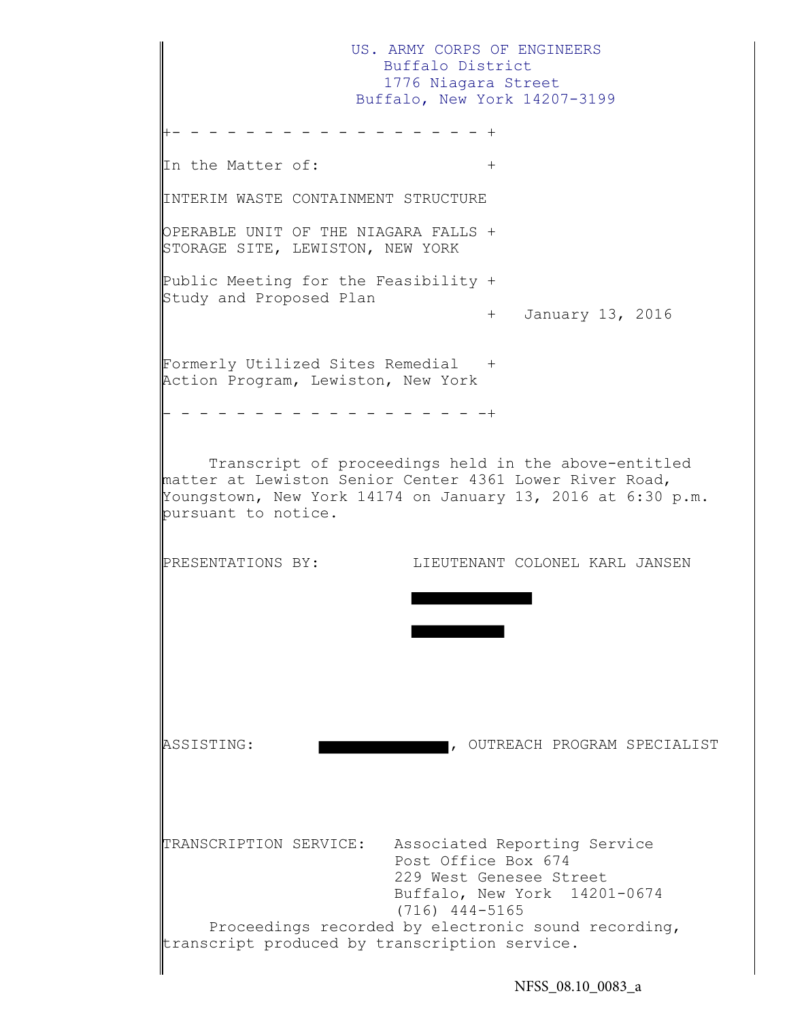US. ARMY CORPS OF ENGINEERS Buffalo District 1776 Niagara Street Buffalo, New York 14207-3199 +- - - - - - - - - - - - - - - - - + In the Matter of:  $+$ INTERIM WASTE CONTAINMENT STRUCTURE OPERABLE UNIT OF THE NIAGARA FALLS + STORAGE SITE, LEWISTON, NEW YORK Public Meeting for the Feasibility + Study and Proposed Plan + January 13, 2016 Formerly Utilized Sites Remedial + Action Program, Lewiston, New York - - - - - - - - - - - - - - - - - -+ Transcript of proceedings held in the above-entitled matter at Lewiston Senior Center 4361 Lower River Road, Youngstown, New York 14174 on January 13, 2016 at 6:30 p.m. pursuant to notice. PRESENTATIONS BY: LIEUTENANT COLONEL KARL JANSEN ASSISTING: , OUTREACH PROGRAM SPECIALIST TRANSCRIPTION SERVICE: Associated Reporting Service Post Office Box 674 229 West Genesee Street Buffalo, New York 14201-0674 (716) 444-5165 Proceedings recorded by electronic sound recording, transcript produced by transcription service.

NFSS 08.10 0083 a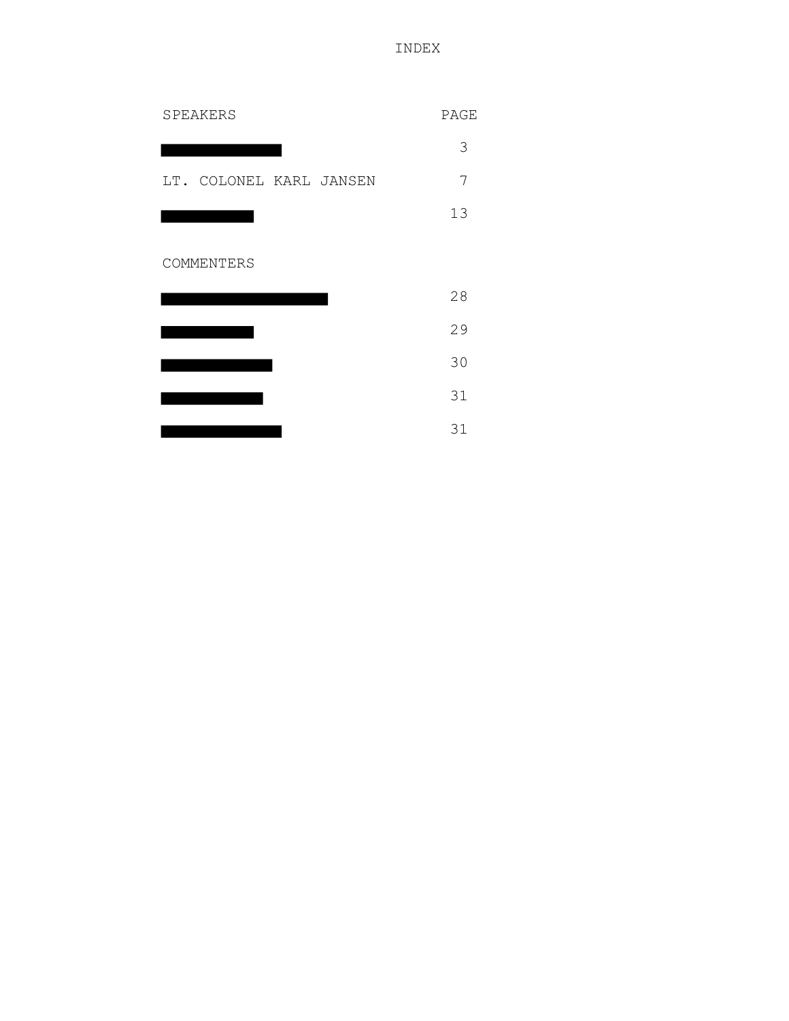INDEX

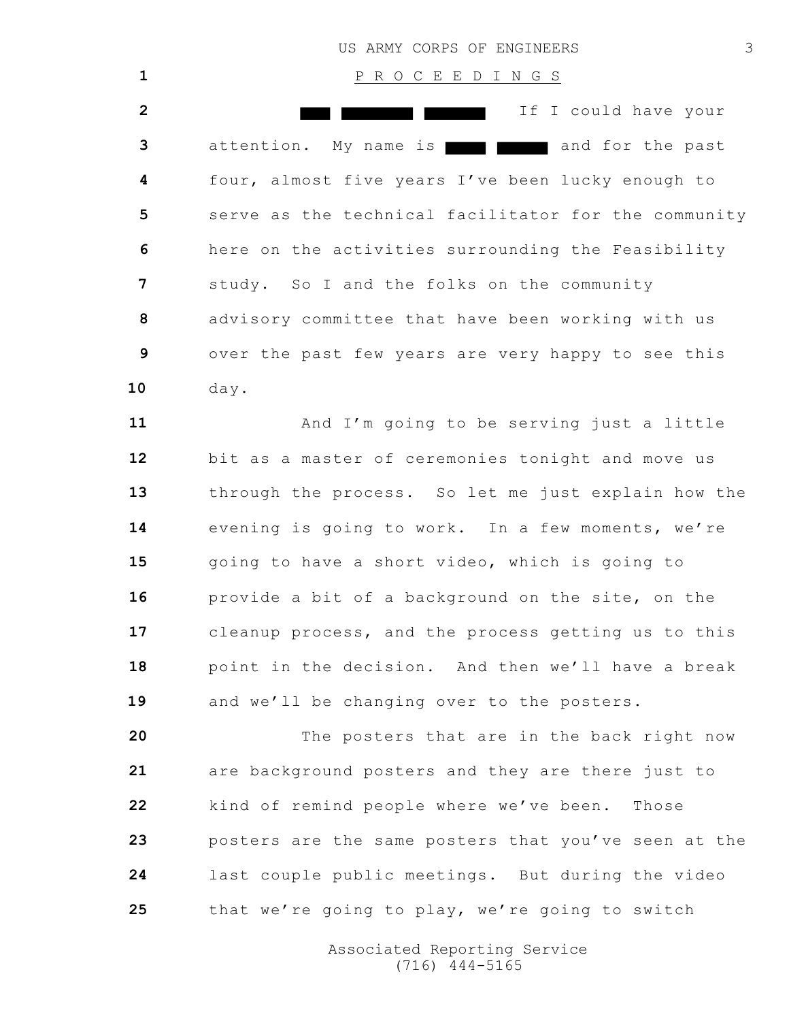# P R O C E E D I N G S If I could have your attention. My name is **a** and for the past four, almost five years I've been lucky enough to serve as the technical facilitator for the community here on the activities surrounding the Feasibility study. So I and the folks on the community advisory committee that have been working with us over the past few years are very happy to see this day.

 And I'm going to be serving just a little bit as a master of ceremonies tonight and move us through the process. So let me just explain how the evening is going to work. In a few moments, we're going to have a short video, which is going to provide a bit of a background on the site, on the cleanup process, and the process getting us to this point in the decision. And then we'll have a break 19 and we'll be changing over to the posters.

 The posters that are in the back right now are background posters and they are there just to kind of remind people where we've been. Those posters are the same posters that you've seen at the last couple public meetings. But during the video that we're going to play, we're going to switch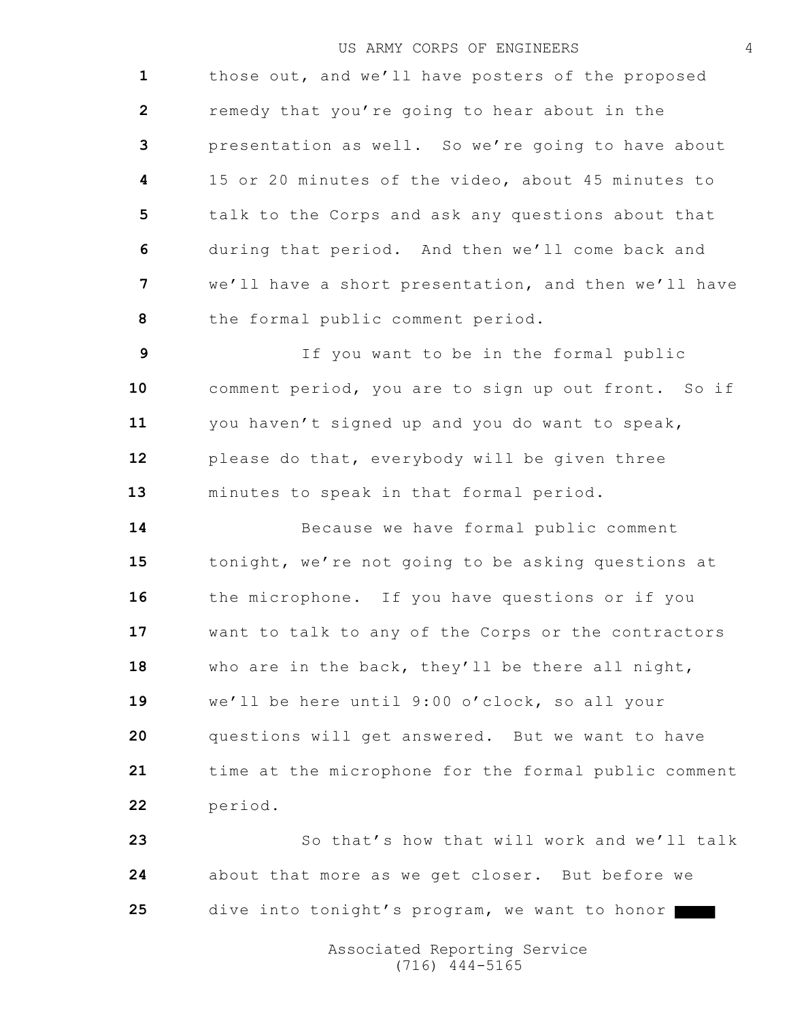those out, and we'll have posters of the proposed remedy that you're going to hear about in the presentation as well. So we're going to have about 15 or 20 minutes of the video, about 45 minutes to talk to the Corps and ask any questions about that during that period. And then we'll come back and we'll have a short presentation, and then we'll have the formal public comment period.

 If you want to be in the formal public comment period, you are to sign up out front. So if you haven't signed up and you do want to speak, please do that, everybody will be given three minutes to speak in that formal period.

 Because we have formal public comment tonight, we're not going to be asking questions at the microphone. If you have questions or if you want to talk to any of the Corps or the contractors who are in the back, they'll be there all night, we'll be here until 9:00 o'clock, so all your questions will get answered. But we want to have time at the microphone for the formal public comment period.

 So that's how that will work and we'll talk about that more as we get closer. But before we dive into tonight's program, we want to honor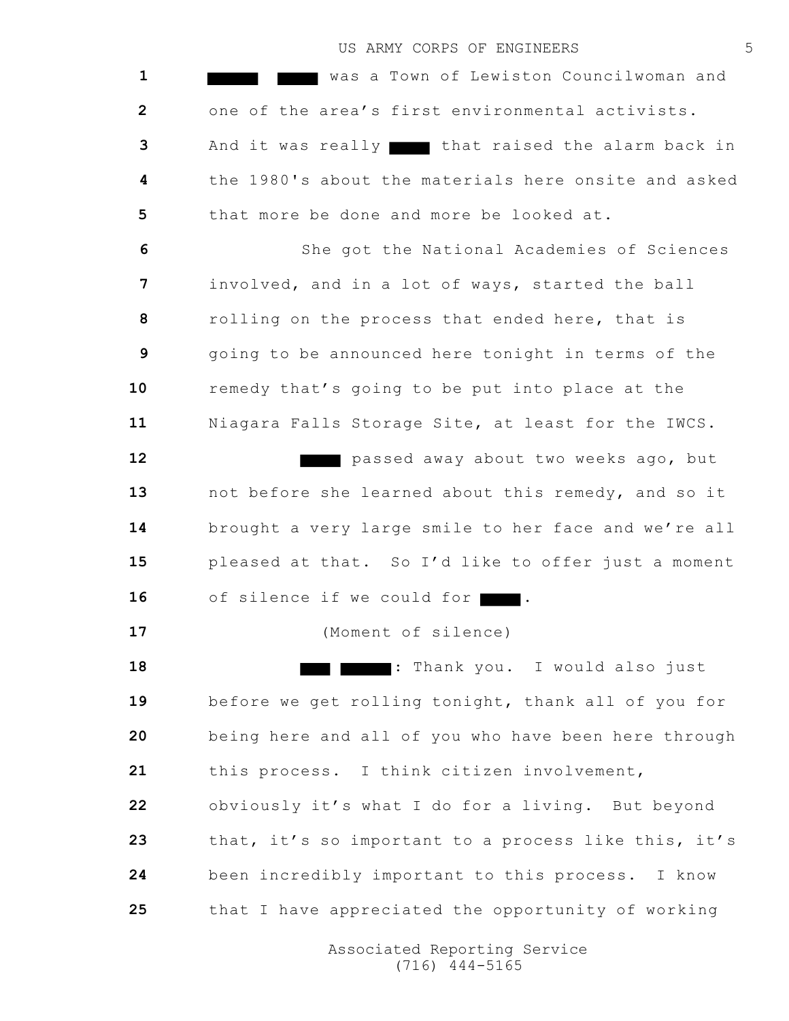was a Town of Lewiston Councilwoman and one of the area's first environmental activists. And it was really that raised the alarm back in the 1980's about the materials here onsite and asked that more be done and more be looked at.

 She got the National Academies of Sciences involved, and in a lot of ways, started the ball rolling on the process that ended here, that is going to be announced here tonight in terms of the remedy that's going to be put into place at the Niagara Falls Storage Site, at least for the IWCS.

 passed away about two weeks ago, but not before she learned about this remedy, and so it brought a very large smile to her face and we're all pleased at that. So I'd like to offer just a moment 16 of silence if we could for

(Moment of silence)

 : Thank you. I would also just before we get rolling tonight, thank all of you for being here and all of you who have been here through this process. I think citizen involvement, obviously it's what I do for a living. But beyond that, it's so important to a process like this, it's been incredibly important to this process. I know that I have appreciated the opportunity of working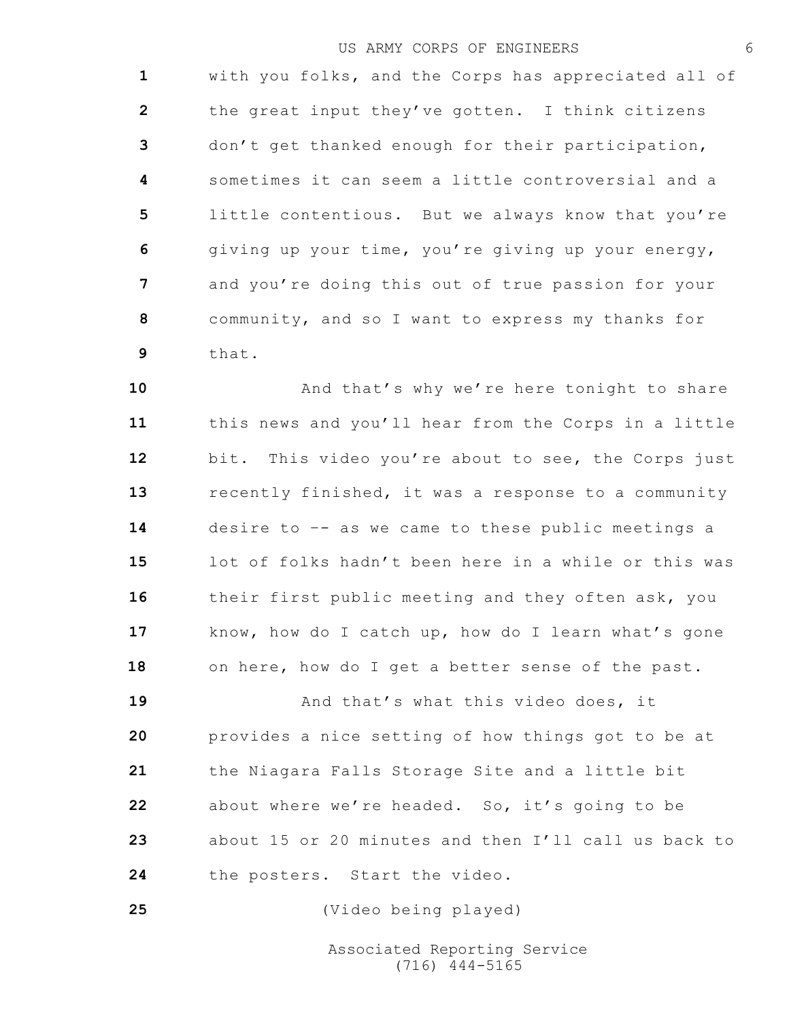with you folks, and the Corps has appreciated all of the great input they've gotten. I think citizens don't get thanked enough for their participation, sometimes it can seem a little controversial and a little contentious. But we always know that you're giving up your time, you're giving up your energy, and you're doing this out of true passion for your community, and so I want to express my thanks for that.

**10** And that's why we're here tonight to share this news and you'll hear from the Corps in a little bit. This video you're about to see, the Corps just recently finished, it was a response to a community desire to –- as we came to these public meetings a lot of folks hadn't been here in a while or this was their first public meeting and they often ask, you know, how do I catch up, how do I learn what's gone on here, how do I get a better sense of the past.

**19** And that's what this video does, it provides a nice setting of how things got to be at the Niagara Falls Storage Site and a little bit about where we're headed. So, it's going to be about 15 or 20 minutes and then I'll call us back to the posters. Start the video.

(Video being played)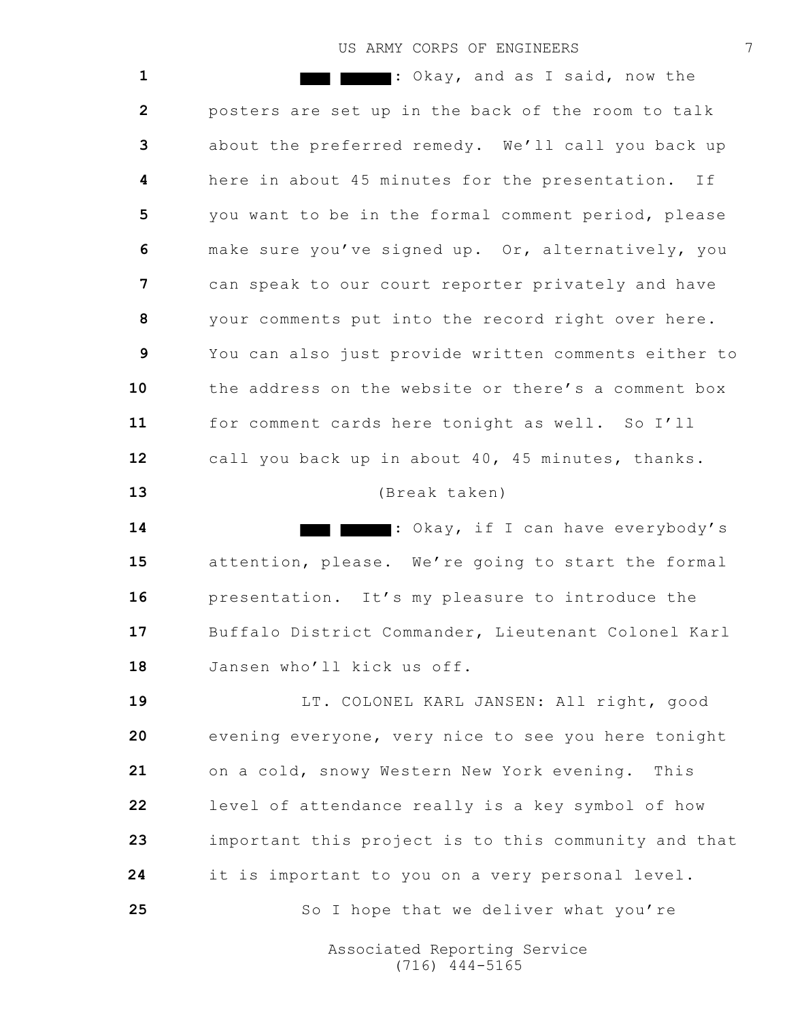: Okay, and as I said, now the posters are set up in the back of the room to talk about the preferred remedy. We'll call you back up here in about 45 minutes for the presentation. If you want to be in the formal comment period, please make sure you've signed up. Or, alternatively, you can speak to our court reporter privately and have your comments put into the record right over here. You can also just provide written comments either to the address on the website or there's a comment box for comment cards here tonight as well. So I'll call you back up in about 40, 45 minutes, thanks. (Break taken) : Okay, if I can have everybody's attention, please. We're going to start the formal presentation. It's my pleasure to introduce the Buffalo District Commander, Lieutenant Colonel Karl Jansen who'll kick us off. LT. COLONEL KARL JANSEN: All right, good evening everyone, very nice to see you here tonight on a cold, snowy Western New York evening. This level of attendance really is a key symbol of how important this project is to this community and that it is important to you on a very personal level. 25 So I hope that we deliver what you're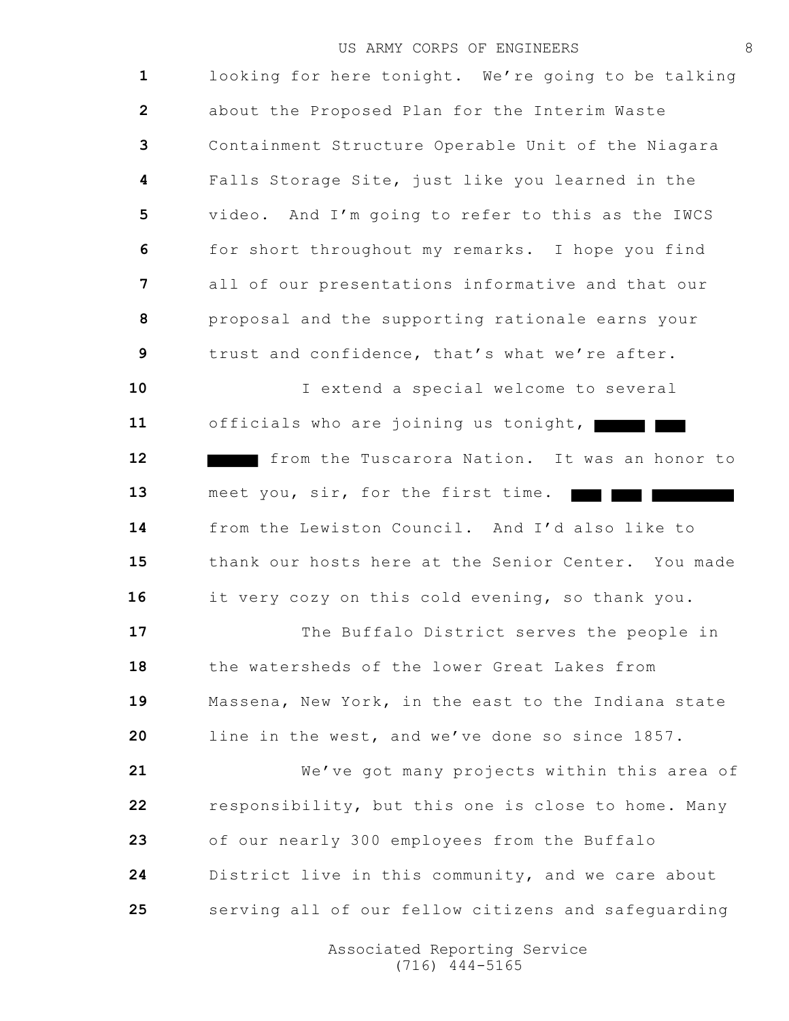looking for here tonight. We're going to be talking about the Proposed Plan for the Interim Waste Containment Structure Operable Unit of the Niagara Falls Storage Site, just like you learned in the video. And I'm going to refer to this as the IWCS for short throughout my remarks. I hope you find all of our presentations informative and that our proposal and the supporting rationale earns your trust and confidence, that's what we're after.

 I extend a special welcome to several officials who are joining us tonight, from the Tuscarora Nation. It was an honor to meet you, sir, for the first time. <u>ran ma</u>r from the Lewiston Council. And I'd also like to thank our hosts here at the Senior Center. You made it very cozy on this cold evening, so thank you.

 The Buffalo District serves the people in the watersheds of the lower Great Lakes from Massena, New York, in the east to the Indiana state line in the west, and we've done so since 1857.

 We've got many projects within this area of responsibility, but this one is close to home. Many of our nearly 300 employees from the Buffalo District live in this community, and we care about serving all of our fellow citizens and safeguarding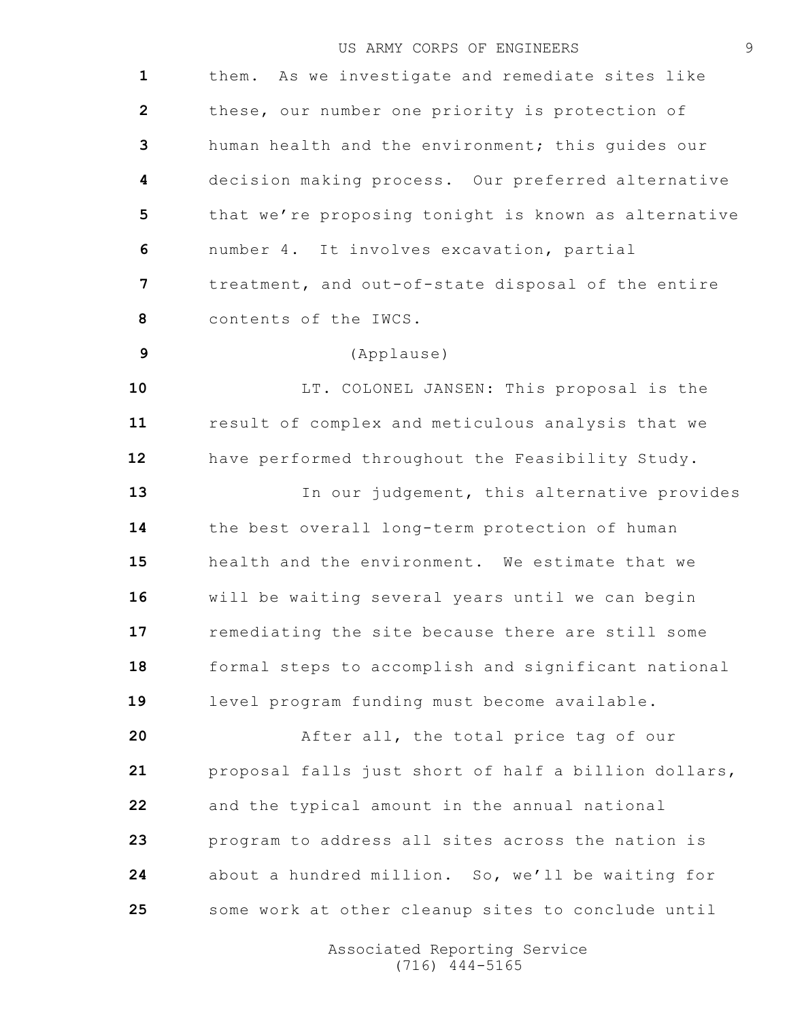them. As we investigate and remediate sites like these, our number one priority is protection of human health and the environment; this guides our decision making process. Our preferred alternative that we're proposing tonight is known as alternative number 4. It involves excavation, partial treatment, and out-of-state disposal of the entire contents of the IWCS. (Applause) LT. COLONEL JANSEN: This proposal is the result of complex and meticulous analysis that we have performed throughout the Feasibility Study. 13 In our judgement, this alternative provides the best overall long-term protection of human health and the environment. We estimate that we will be waiting several years until we can begin remediating the site because there are still some formal steps to accomplish and significant national level program funding must become available. After all, the total price tag of our proposal falls just short of half a billion dollars, and the typical amount in the annual national program to address all sites across the nation is about a hundred million. So, we'll be waiting for some work at other cleanup sites to conclude until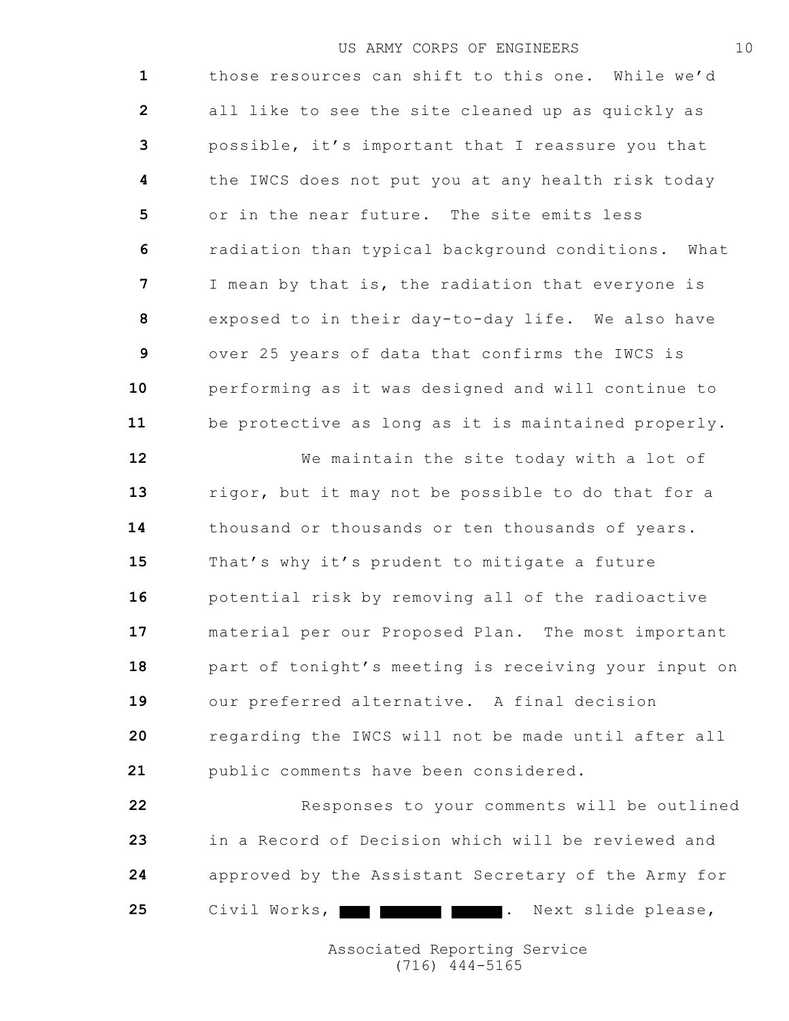those resources can shift to this one. While we'd all like to see the site cleaned up as quickly as possible, it's important that I reassure you that the IWCS does not put you at any health risk today or in the near future. The site emits less radiation than typical background conditions. What I mean by that is, the radiation that everyone is exposed to in their day-to-day life. We also have over 25 years of data that confirms the IWCS is performing as it was designed and will continue to be protective as long as it is maintained properly. We maintain the site today with a lot of rigor, but it may not be possible to do that for a thousand or thousands or ten thousands of years. That's why it's prudent to mitigate a future potential risk by removing all of the radioactive material per our Proposed Plan. The most important part of tonight's meeting is receiving your input on our preferred alternative. A final decision

 regarding the IWCS will not be made until after all public comments have been considered.

 Responses to your comments will be outlined in a Record of Decision which will be reviewed and approved by the Assistant Secretary of the Army for 25 Civil Works, **. Next slide please**,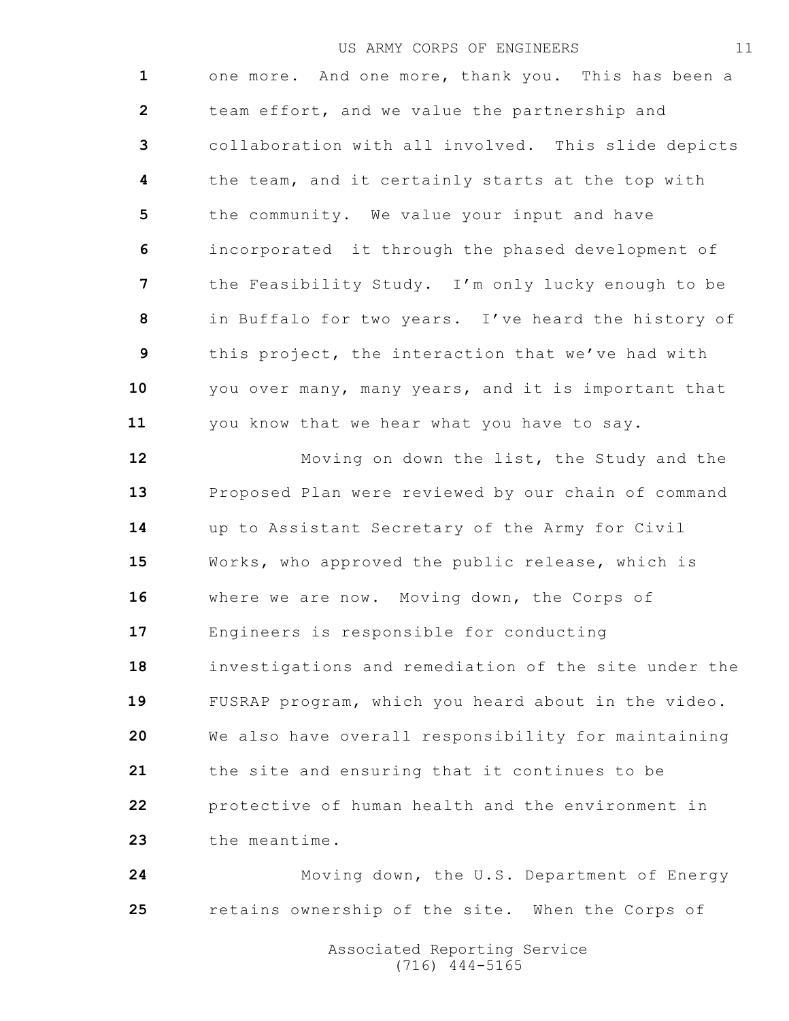one more. And one more, thank you. This has been a team effort, and we value the partnership and collaboration with all involved. This slide depicts the team, and it certainly starts at the top with the community. We value your input and have incorporated it through the phased development of the Feasibility Study. I'm only lucky enough to be in Buffalo for two years. I've heard the history of this project, the interaction that we've had with you over many, many years, and it is important that you know that we hear what you have to say. Moving on down the list, the Study and the

 Proposed Plan were reviewed by our chain of command up to Assistant Secretary of the Army for Civil Works, who approved the public release, which is where we are now. Moving down, the Corps of Engineers is responsible for conducting investigations and remediation of the site under the FUSRAP program, which you heard about in the video. We also have overall responsibility for maintaining the site and ensuring that it continues to be protective of human health and the environment in the meantime.

 Moving down, the U.S. Department of Energy retains ownership of the site. When the Corps of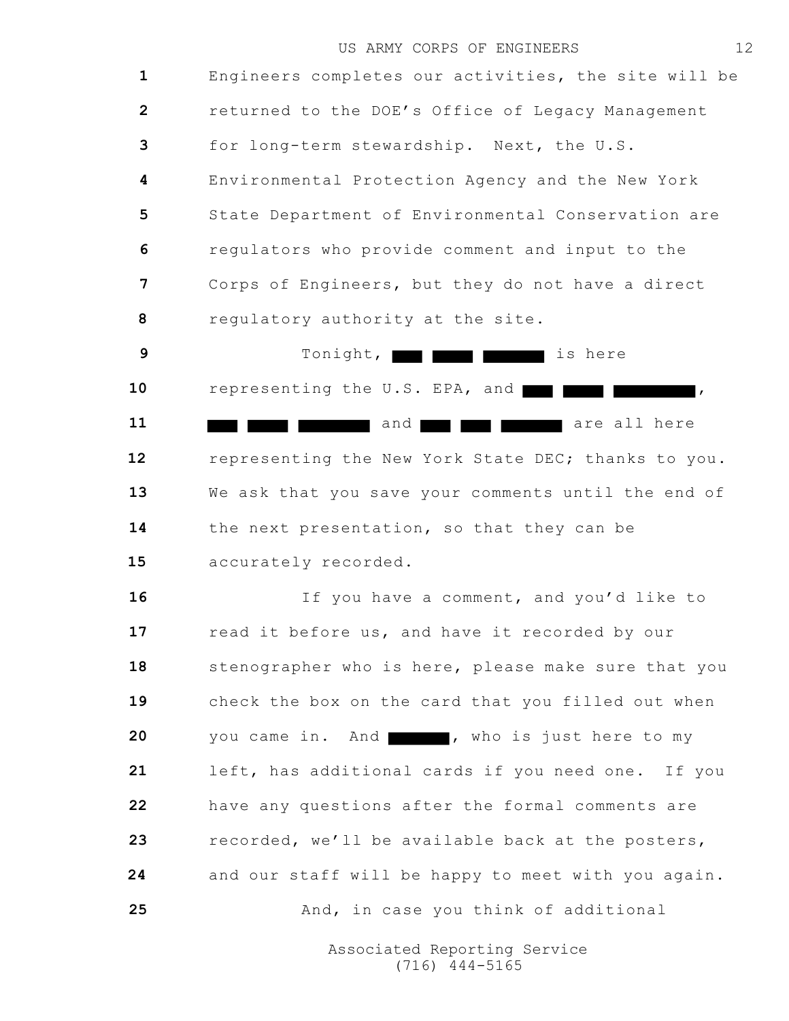Engineers completes our activities, the site will be returned to the DOE's Office of Legacy Management for long-term stewardship. Next, the U.S. Environmental Protection Agency and the New York State Department of Environmental Conservation are regulators who provide comment and input to the Corps of Engineers, but they do not have a direct regulatory authority at the site.

 Tonight, **i** Tonight, **i** Tonight, **i** Tonight, **i** Tonight, **i** Tonight, **i** Tonight, **i** Tonight, **i** Tonight, **i** Tonight, **i** Tonight, **i** Tonight, **i** Tonight, **i** Tonight, **i** Tonight, **i** Tonight, **i** Tonight, 10 representing the U.S. EPA, and **the set of the set of the set of the set of the set of the set of the set of the set of the set of the set of the set of the set of the set of the set of the set of the set of the set of**  and **and are all here** are all here representing the New York State DEC; thanks to you. We ask that you save your comments until the end of the next presentation, so that they can be accurately recorded.

 If you have a comment, and you'd like to 17 read it before us, and have it recorded by our 18 stenographer who is here, please make sure that you check the box on the card that you filled out when you came in. And , who is just here to my left, has additional cards if you need one. If you have any questions after the formal comments are recorded, we'll be available back at the posters, and our staff will be happy to meet with you again. 25 And, in case you think of additional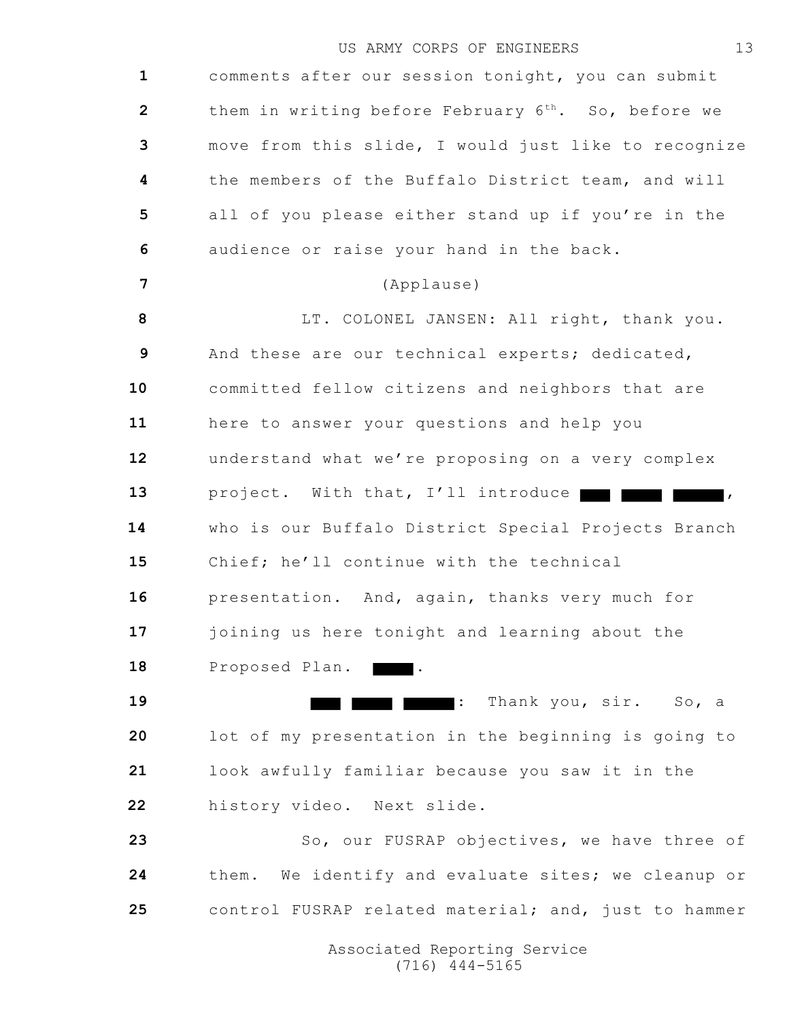comments after our session tonight, you can submit them in writing before February 6<sup>th</sup>. So, before we move from this slide, I would just like to recognize the members of the Buffalo District team, and will all of you please either stand up if you're in the audience or raise your hand in the back. (Applause) LT. COLONEL JANSEN: All right, thank you. And these are our technical experts; dedicated, committed fellow citizens and neighbors that are here to answer your questions and help you understand what we're proposing on a very complex 13 project. With that, I'll introduce **and the set of the set of the set of the set of the set of the set of the set of the set of the set of the set of the set of the set of the set of the set of the set of the set of the**  who is our Buffalo District Special Projects Branch Chief; he'll continue with the technical presentation. And, again, thanks very much for joining us here tonight and learning about the 18 Proposed Plan. : Thank you, sir. So, a lot of my presentation in the beginning is going to look awfully familiar because you saw it in the history video. Next slide. 23 So, our FUSRAP objectives, we have three of them. We identify and evaluate sites; we cleanup or control FUSRAP related material; and, just to hammer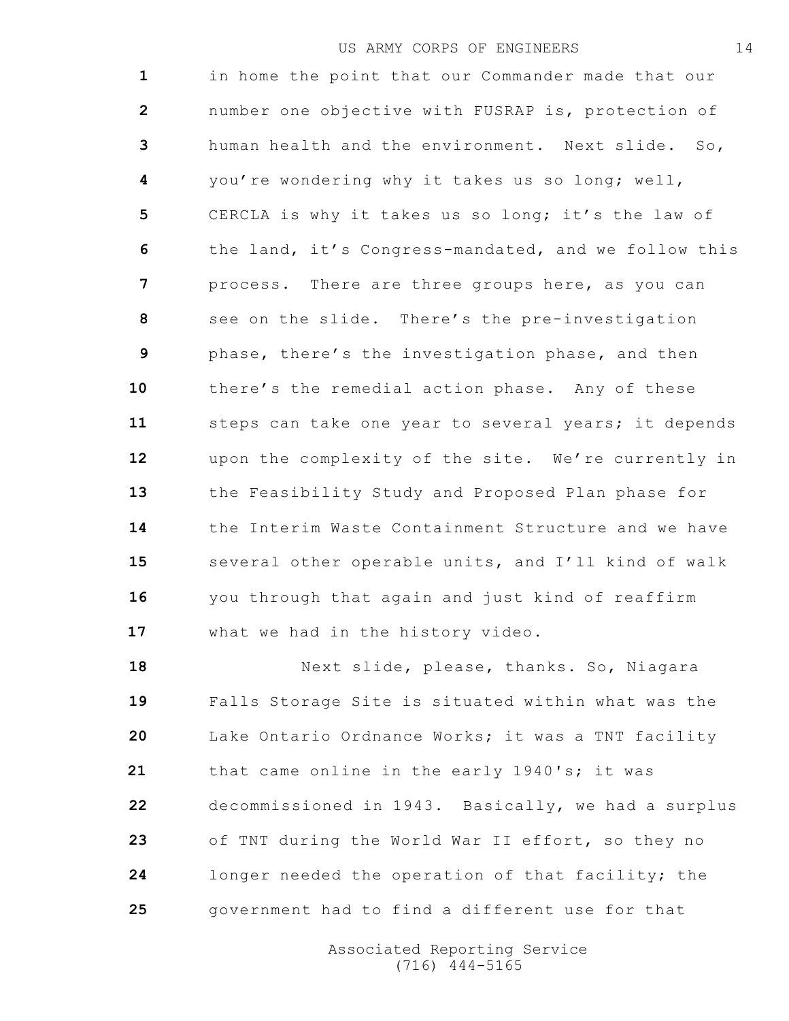in home the point that our Commander made that our number one objective with FUSRAP is, protection of human health and the environment. Next slide. So, you're wondering why it takes us so long; well, CERCLA is why it takes us so long; it's the law of the land, it's Congress-mandated, and we follow this process. There are three groups here, as you can see on the slide. There's the pre-investigation phase, there's the investigation phase, and then there's the remedial action phase. Any of these steps can take one year to several years; it depends upon the complexity of the site. We're currently in the Feasibility Study and Proposed Plan phase for the Interim Waste Containment Structure and we have several other operable units, and I'll kind of walk you through that again and just kind of reaffirm what we had in the history video.

18 Next slide, please, thanks. So, Niagara Falls Storage Site is situated within what was the Lake Ontario Ordnance Works; it was a TNT facility that came online in the early 1940's; it was decommissioned in 1943. Basically, we had a surplus of TNT during the World War II effort, so they no longer needed the operation of that facility; the government had to find a different use for that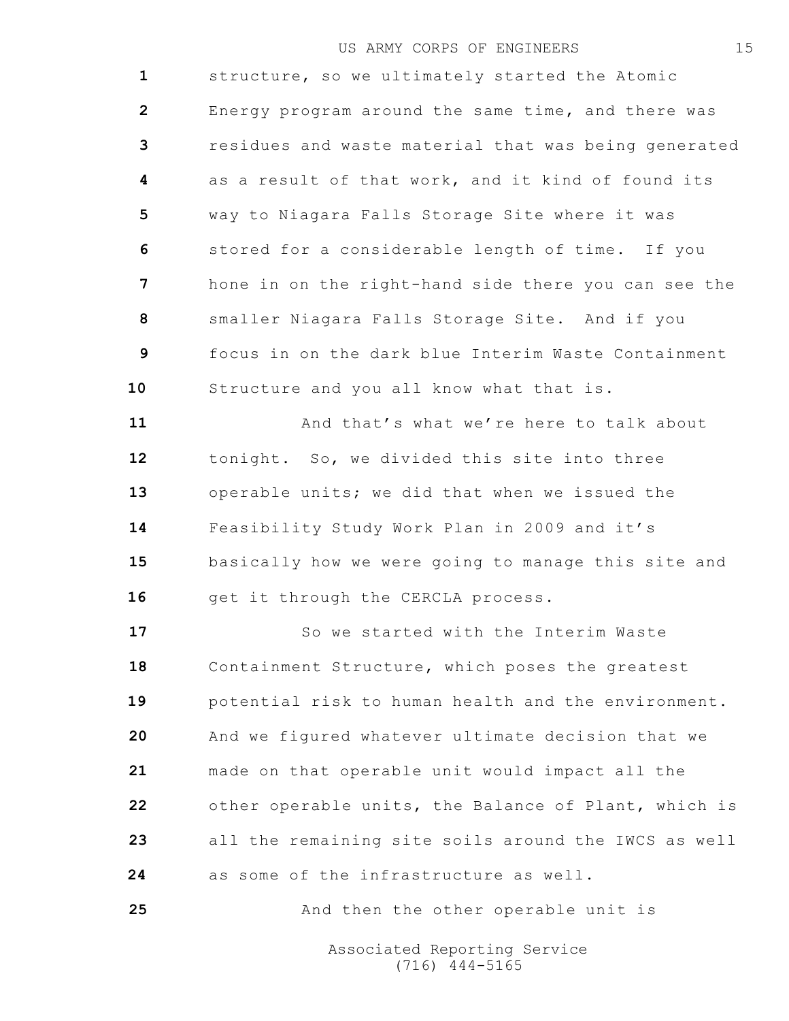structure, so we ultimately started the Atomic Energy program around the same time, and there was residues and waste material that was being generated as a result of that work, and it kind of found its way to Niagara Falls Storage Site where it was stored for a considerable length of time. If you hone in on the right-hand side there you can see the smaller Niagara Falls Storage Site. And if you focus in on the dark blue Interim Waste Containment Structure and you all know what that is.

 And that's what we're here to talk about tonight. So, we divided this site into three operable units; we did that when we issued the Feasibility Study Work Plan in 2009 and it's basically how we were going to manage this site and 16 get it through the CERCLA process.

 So we started with the Interim Waste Containment Structure, which poses the greatest potential risk to human health and the environment. And we figured whatever ultimate decision that we made on that operable unit would impact all the other operable units, the Balance of Plant, which is all the remaining site soils around the IWCS as well as some of the infrastructure as well.

And then the other operable unit is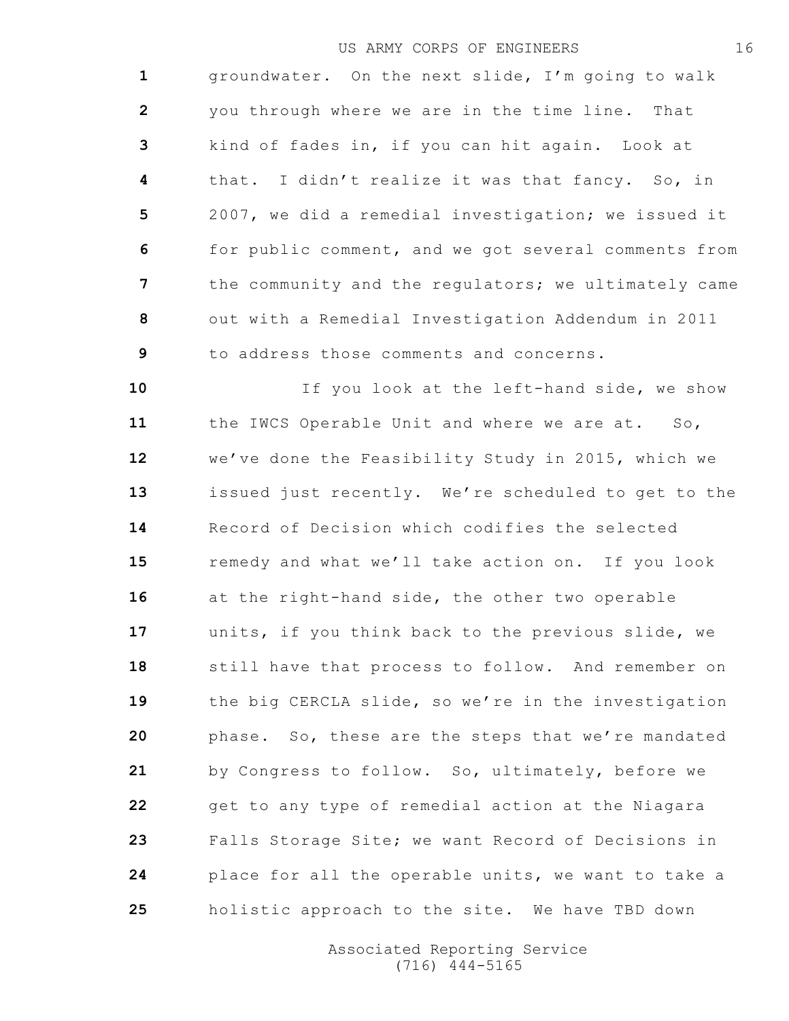groundwater. On the next slide, I'm going to walk you through where we are in the time line. That kind of fades in, if you can hit again. Look at that. I didn't realize it was that fancy. So, in 2007, we did a remedial investigation; we issued it for public comment, and we got several comments from the community and the regulators; we ultimately came out with a Remedial Investigation Addendum in 2011 to address those comments and concerns.

 If you look at the left-hand side, we show the IWCS Operable Unit and where we are at. So, we've done the Feasibility Study in 2015, which we issued just recently. We're scheduled to get to the Record of Decision which codifies the selected remedy and what we'll take action on. If you look at the right-hand side, the other two operable units, if you think back to the previous slide, we still have that process to follow. And remember on the big CERCLA slide, so we're in the investigation phase. So, these are the steps that we're mandated by Congress to follow. So, ultimately, before we get to any type of remedial action at the Niagara Falls Storage Site; we want Record of Decisions in place for all the operable units, we want to take a holistic approach to the site. We have TBD down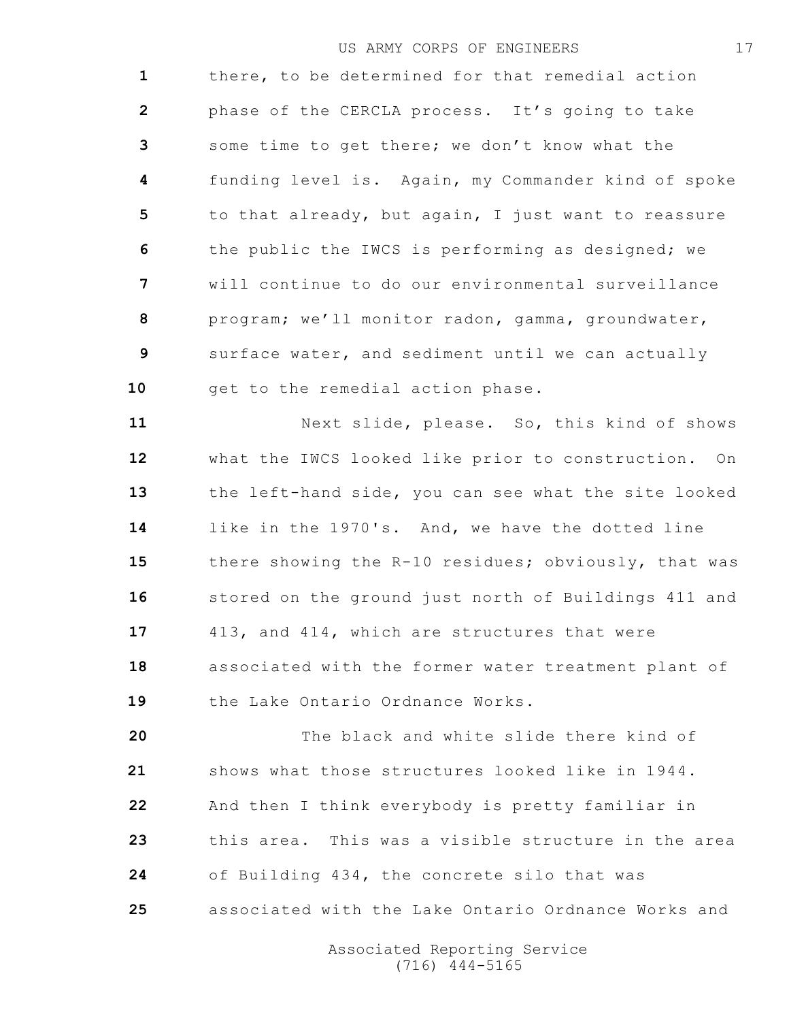there, to be determined for that remedial action phase of the CERCLA process. It's going to take some time to get there; we don't know what the funding level is. Again, my Commander kind of spoke to that already, but again, I just want to reassure the public the IWCS is performing as designed; we will continue to do our environmental surveillance program; we'll monitor radon, gamma, groundwater, surface water, and sediment until we can actually 10 get to the remedial action phase.

 Next slide, please. So, this kind of shows what the IWCS looked like prior to construction. On the left-hand side, you can see what the site looked like in the 1970's. And, we have the dotted line there showing the R-10 residues; obviously, that was stored on the ground just north of Buildings 411 and 413, and 414, which are structures that were associated with the former water treatment plant of the Lake Ontario Ordnance Works.

 The black and white slide there kind of shows what those structures looked like in 1944. And then I think everybody is pretty familiar in this area. This was a visible structure in the area of Building 434, the concrete silo that was associated with the Lake Ontario Ordnance Works and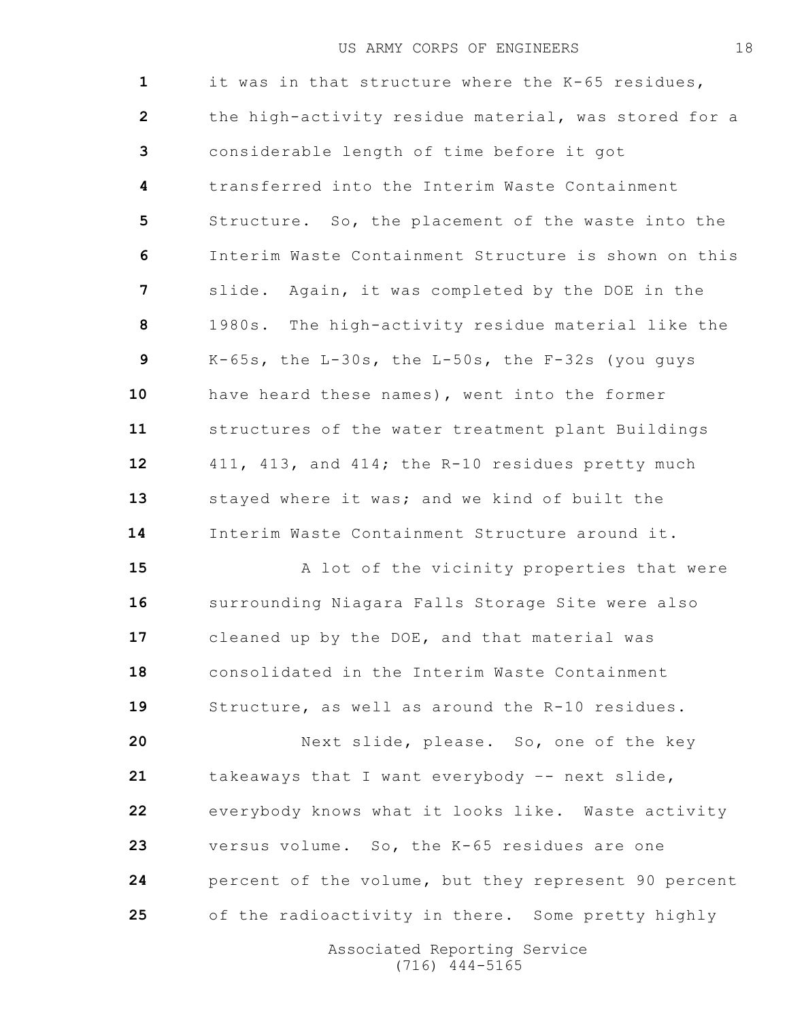it was in that structure where the K-65 residues, the high-activity residue material, was stored for a considerable length of time before it got transferred into the Interim Waste Containment Structure. So, the placement of the waste into the Interim Waste Containment Structure is shown on this slide. Again, it was completed by the DOE in the 1980s. The high-activity residue material like the K-65s, the L-30s, the L-50s, the F-32s (you guys have heard these names), went into the former structures of the water treatment plant Buildings 411, 413, and 414; the R-10 residues pretty much stayed where it was; and we kind of built the Interim Waste Containment Structure around it.

15 A lot of the vicinity properties that were surrounding Niagara Falls Storage Site were also cleaned up by the DOE, and that material was consolidated in the Interim Waste Containment Structure, as well as around the R-10 residues.

 Next slide, please. So, one of the key takeaways that I want everybody –- next slide, everybody knows what it looks like. Waste activity versus volume. So, the K-65 residues are one percent of the volume, but they represent 90 percent of the radioactivity in there. Some pretty highly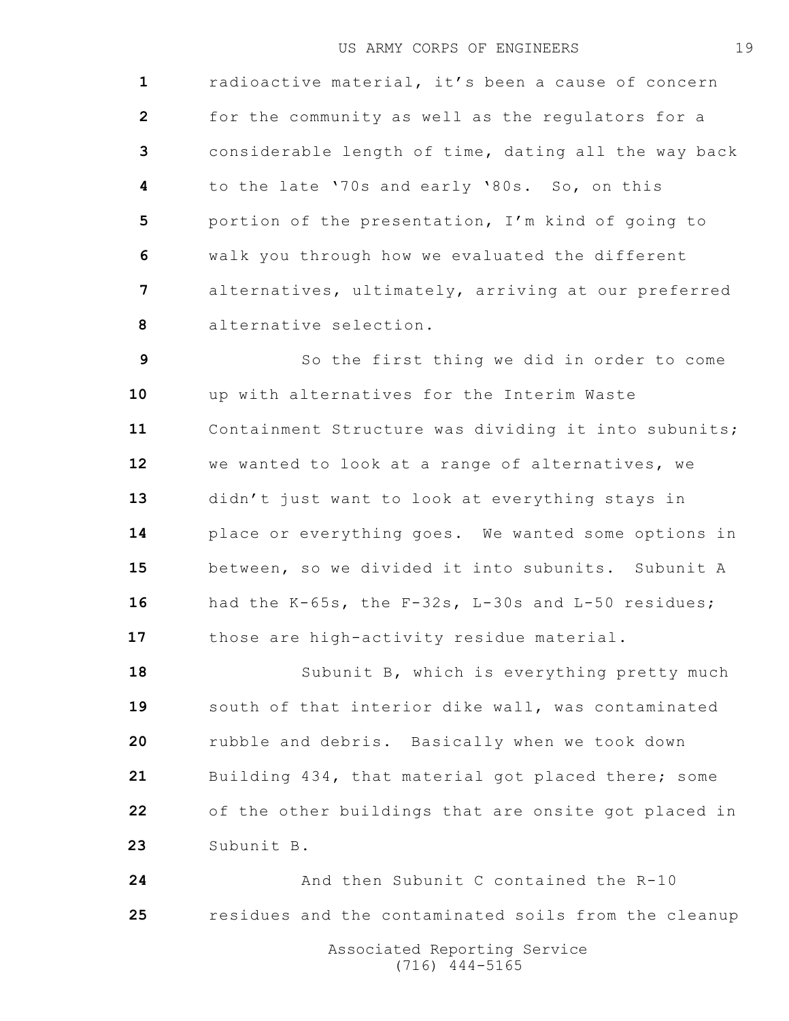radioactive material, it's been a cause of concern for the community as well as the regulators for a considerable length of time, dating all the way back to the late '70s and early '80s. So, on this portion of the presentation, I'm kind of going to walk you through how we evaluated the different alternatives, ultimately, arriving at our preferred alternative selection.

 So the first thing we did in order to come up with alternatives for the Interim Waste Containment Structure was dividing it into subunits; we wanted to look at a range of alternatives, we didn't just want to look at everything stays in place or everything goes. We wanted some options in between, so we divided it into subunits. Subunit A had the K-65s, the F-32s, L-30s and L-50 residues; those are high-activity residue material.

 Subunit B, which is everything pretty much south of that interior dike wall, was contaminated rubble and debris. Basically when we took down Building 434, that material got placed there; some of the other buildings that are onsite got placed in Subunit B.

 And then Subunit C contained the R-10 residues and the contaminated soils from the cleanup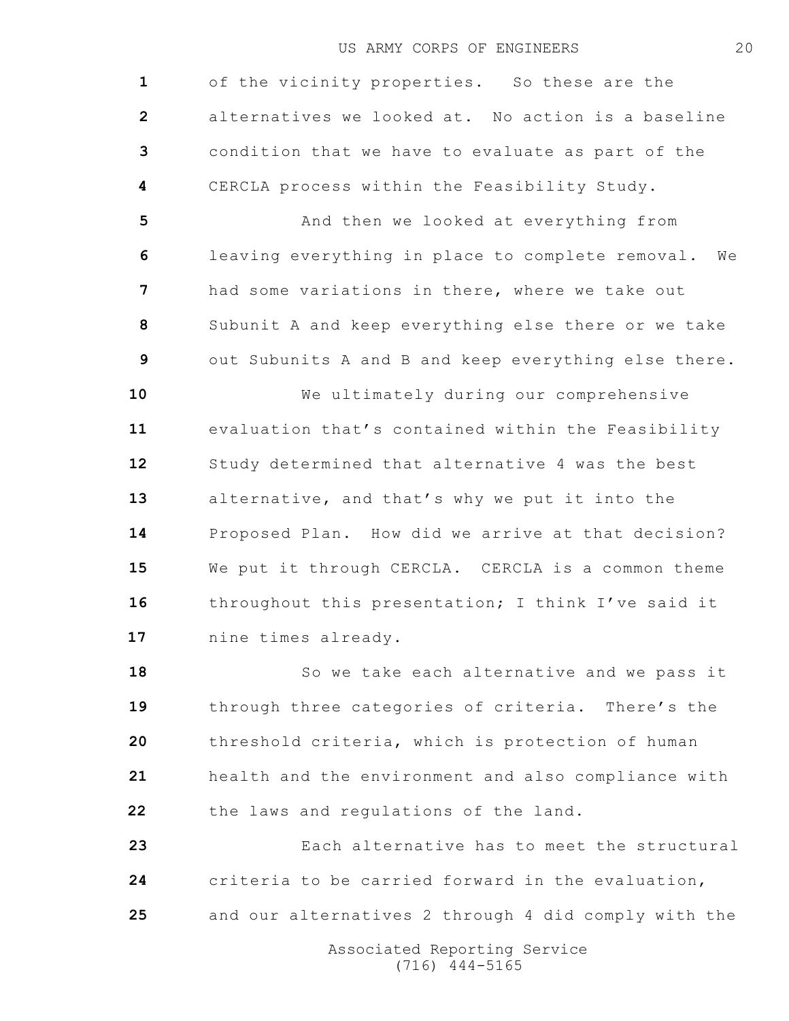of the vicinity properties. So these are the alternatives we looked at. No action is a baseline condition that we have to evaluate as part of the CERCLA process within the Feasibility Study.

 And then we looked at everything from leaving everything in place to complete removal. We had some variations in there, where we take out Subunit A and keep everything else there or we take out Subunits A and B and keep everything else there.

 We ultimately during our comprehensive evaluation that's contained within the Feasibility Study determined that alternative 4 was the best alternative, and that's why we put it into the Proposed Plan. How did we arrive at that decision? We put it through CERCLA. CERCLA is a common theme throughout this presentation; I think I've said it nine times already.

 So we take each alternative and we pass it through three categories of criteria. There's the threshold criteria, which is protection of human health and the environment and also compliance with the laws and regulations of the land.

 Each alternative has to meet the structural criteria to be carried forward in the evaluation, and our alternatives 2 through 4 did comply with the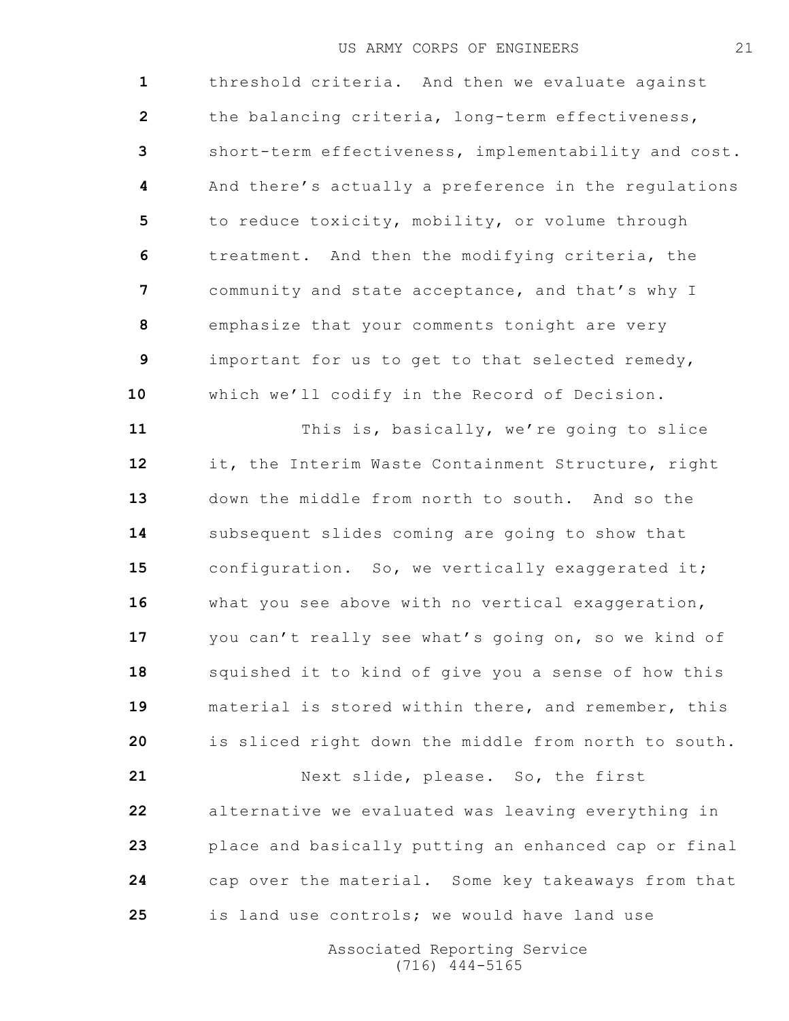threshold criteria. And then we evaluate against the balancing criteria, long-term effectiveness, short-term effectiveness, implementability and cost. And there's actually a preference in the regulations to reduce toxicity, mobility, or volume through treatment. And then the modifying criteria, the community and state acceptance, and that's why I emphasize that your comments tonight are very important for us to get to that selected remedy, which we'll codify in the Record of Decision. This is, basically, we're going to slice it, the Interim Waste Containment Structure, right

 down the middle from north to south. And so the subsequent slides coming are going to show that 15 configuration. So, we vertically exaggerated it; 16 what you see above with no vertical exaggeration, you can't really see what's going on, so we kind of squished it to kind of give you a sense of how this material is stored within there, and remember, this is sliced right down the middle from north to south.

 Next slide, please. So, the first alternative we evaluated was leaving everything in place and basically putting an enhanced cap or final cap over the material. Some key takeaways from that is land use controls; we would have land use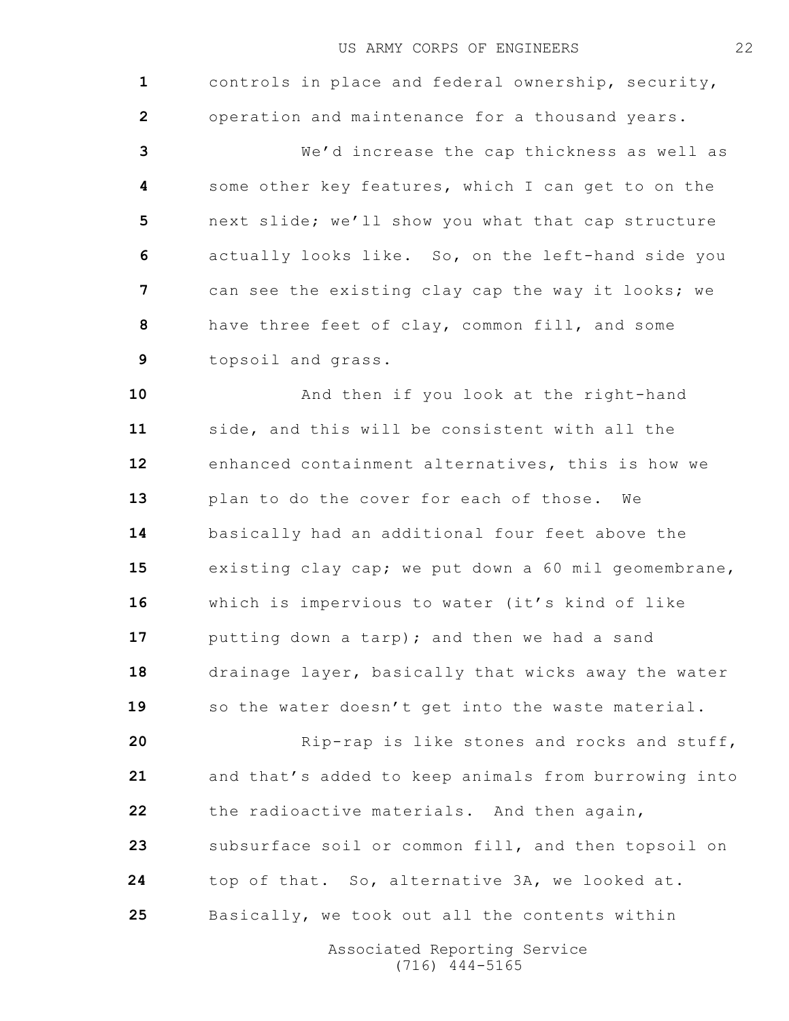controls in place and federal ownership, security, operation and maintenance for a thousand years. We'd increase the cap thickness as well as some other key features, which I can get to on the next slide; we'll show you what that cap structure actually looks like. So, on the left-hand side you can see the existing clay cap the way it looks; we have three feet of clay, common fill, and some topsoil and grass. **And then if you look at the right-hand**  side, and this will be consistent with all the enhanced containment alternatives, this is how we plan to do the cover for each of those. We basically had an additional four feet above the existing clay cap; we put down a 60 mil geomembrane, which is impervious to water (it's kind of like putting down a tarp); and then we had a sand drainage layer, basically that wicks away the water 19 so the water doesn't get into the waste material. Rip-rap is like stones and rocks and stuff,

 and that's added to keep animals from burrowing into the radioactive materials. And then again, subsurface soil or common fill, and then topsoil on top of that. So, alternative 3A, we looked at. Basically, we took out all the contents within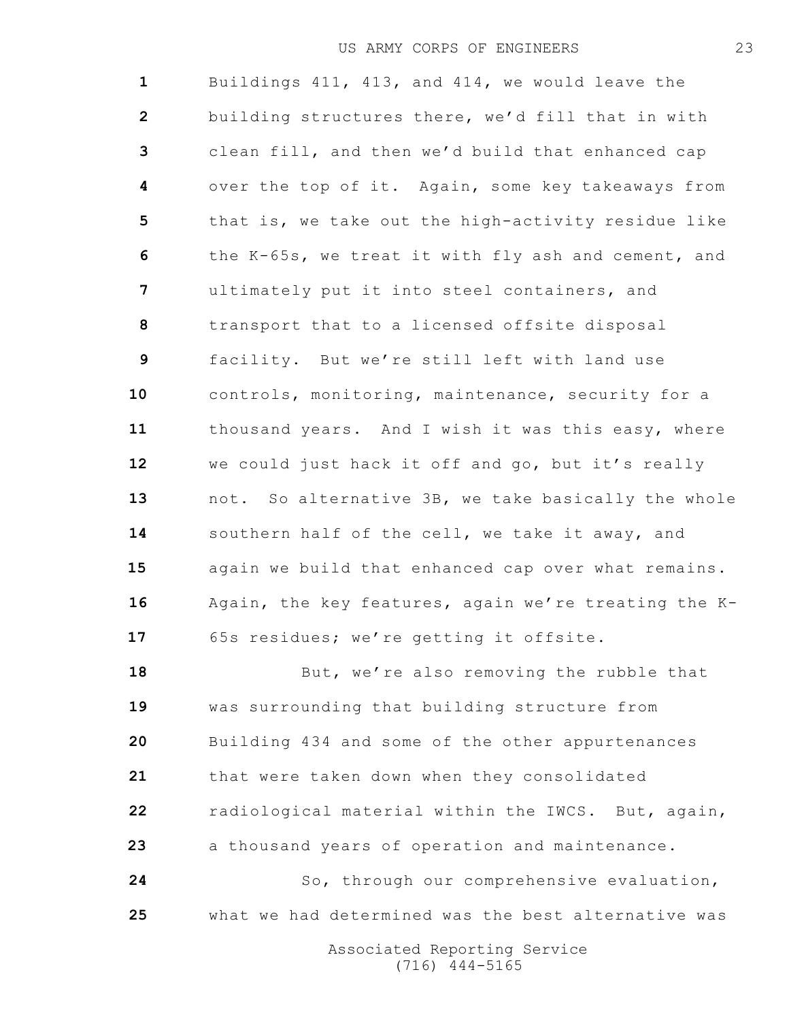Buildings 411, 413, and 414, we would leave the building structures there, we'd fill that in with clean fill, and then we'd build that enhanced cap over the top of it. Again, some key takeaways from that is, we take out the high-activity residue like the K-65s, we treat it with fly ash and cement, and ultimately put it into steel containers, and transport that to a licensed offsite disposal facility. But we're still left with land use controls, monitoring, maintenance, security for a thousand years. And I wish it was this easy, where we could just hack it off and go, but it's really not. So alternative 3B, we take basically the whole southern half of the cell, we take it away, and again we build that enhanced cap over what remains. Again, the key features, again we're treating the K- 65s residues; we're getting it offsite. 18 But, we're also removing the rubble that

 was surrounding that building structure from Building 434 and some of the other appurtenances that were taken down when they consolidated radiological material within the IWCS. But, again, a thousand years of operation and maintenance. So, through our comprehensive evaluation,

what we had determined was the best alternative was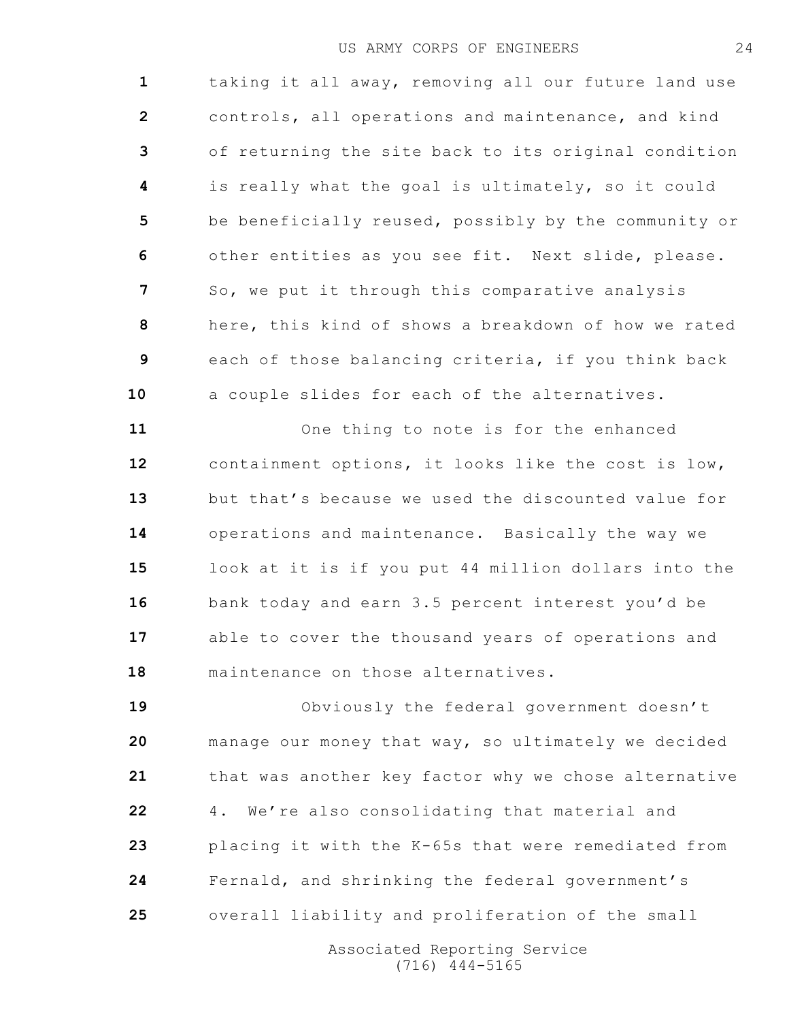taking it all away, removing all our future land use controls, all operations and maintenance, and kind of returning the site back to its original condition is really what the goal is ultimately, so it could be beneficially reused, possibly by the community or other entities as you see fit. Next slide, please. So, we put it through this comparative analysis here, this kind of shows a breakdown of how we rated each of those balancing criteria, if you think back a couple slides for each of the alternatives.

 One thing to note is for the enhanced containment options, it looks like the cost is low, but that's because we used the discounted value for operations and maintenance. Basically the way we look at it is if you put 44 million dollars into the bank today and earn 3.5 percent interest you'd be able to cover the thousand years of operations and maintenance on those alternatives.

 Obviously the federal government doesn't manage our money that way, so ultimately we decided that was another key factor why we chose alternative 4. We're also consolidating that material and placing it with the K-65s that were remediated from Fernald, and shrinking the federal government's overall liability and proliferation of the small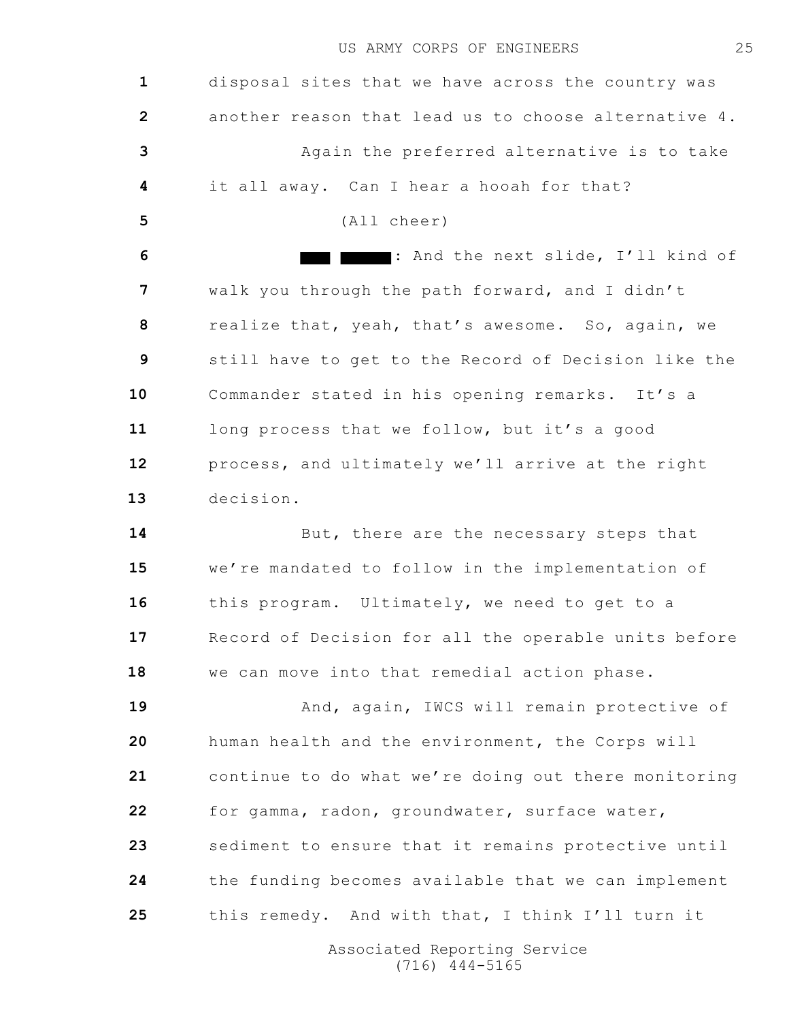disposal sites that we have across the country was another reason that lead us to choose alternative 4. Again the preferred alternative is to take it all away. Can I hear a hooah for that? (All cheer) : And the next slide, I'll kind of walk you through the path forward, and I didn't realize that, yeah, that's awesome. So, again, we still have to get to the Record of Decision like the Commander stated in his opening remarks. It's a long process that we follow, but it's a good process, and ultimately we'll arrive at the right decision. 14 But, there are the necessary steps that we're mandated to follow in the implementation of this program. Ultimately, we need to get to a Record of Decision for all the operable units before we can move into that remedial action phase. **And, again, IWCS will remain protective of**  human health and the environment, the Corps will continue to do what we're doing out there monitoring for gamma, radon, groundwater, surface water, sediment to ensure that it remains protective until the funding becomes available that we can implement this remedy. And with that, I think I'll turn it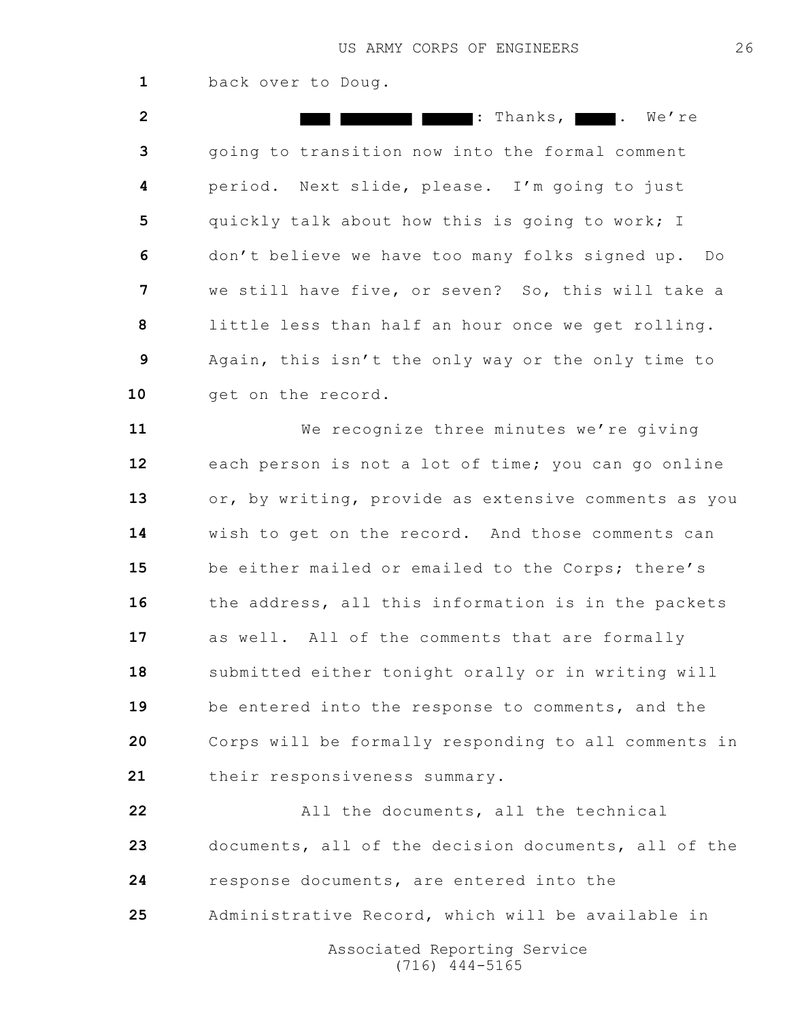back over to Doug.

 : Thanks, . We're going to transition now into the formal comment period. Next slide, please. I'm going to just quickly talk about how this is going to work; I don't believe we have too many folks signed up. Do we still have five, or seven? So, this will take a little less than half an hour once we get rolling. Again, this isn't the only way or the only time to 10 get on the record.

 We recognize three minutes we're giving each person is not a lot of time; you can go online or, by writing, provide as extensive comments as you wish to get on the record. And those comments can be either mailed or emailed to the Corps; there's 16 the address, all this information is in the packets as well. All of the comments that are formally submitted either tonight orally or in writing will be entered into the response to comments, and the Corps will be formally responding to all comments in their responsiveness summary.

 All the documents, all the technical documents, all of the decision documents, all of the response documents, are entered into the Administrative Record, which will be available in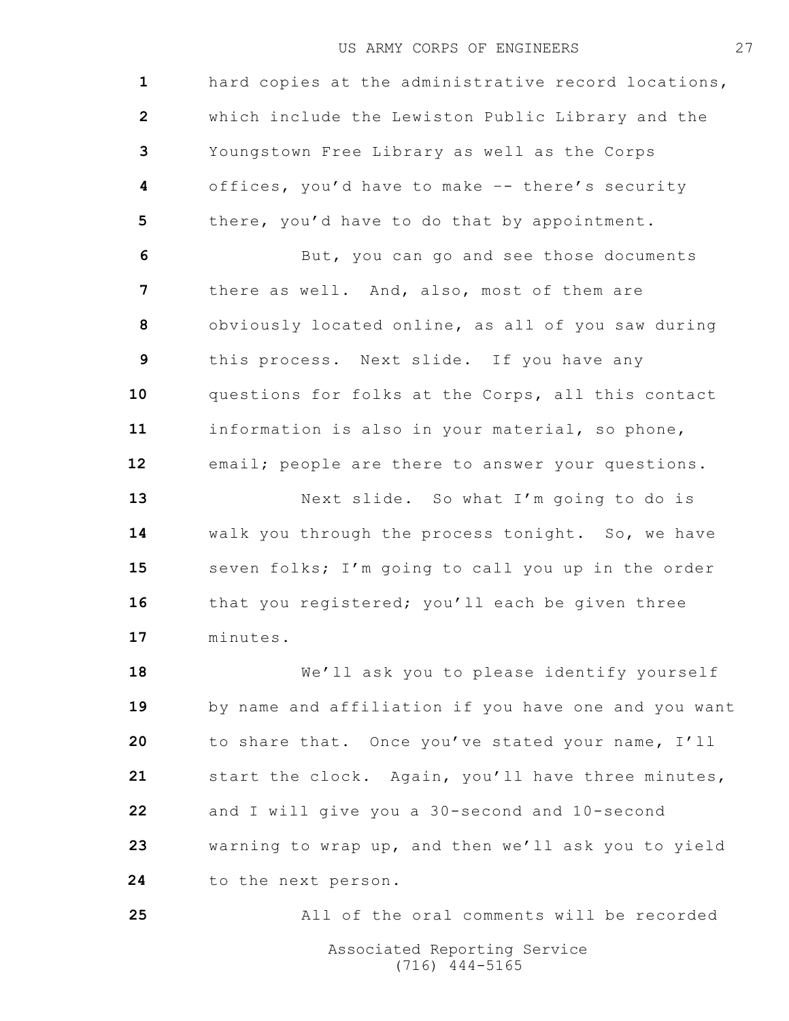hard copies at the administrative record locations, which include the Lewiston Public Library and the Youngstown Free Library as well as the Corps offices, you'd have to make –- there's security there, you'd have to do that by appointment. But, you can go and see those documents

 there as well. And, also, most of them are obviously located online, as all of you saw during this process. Next slide. If you have any questions for folks at the Corps, all this contact information is also in your material, so phone, email; people are there to answer your questions.

 Next slide. So what I'm going to do is walk you through the process tonight. So, we have seven folks; I'm going to call you up in the order 16 that you registered; you'll each be given three minutes.

 We'll ask you to please identify yourself by name and affiliation if you have one and you want to share that. Once you've stated your name, I'll start the clock. Again, you'll have three minutes, and I will give you a 30-second and 10-second warning to wrap up, and then we'll ask you to yield 24 to the next person.

All of the oral comments will be recorded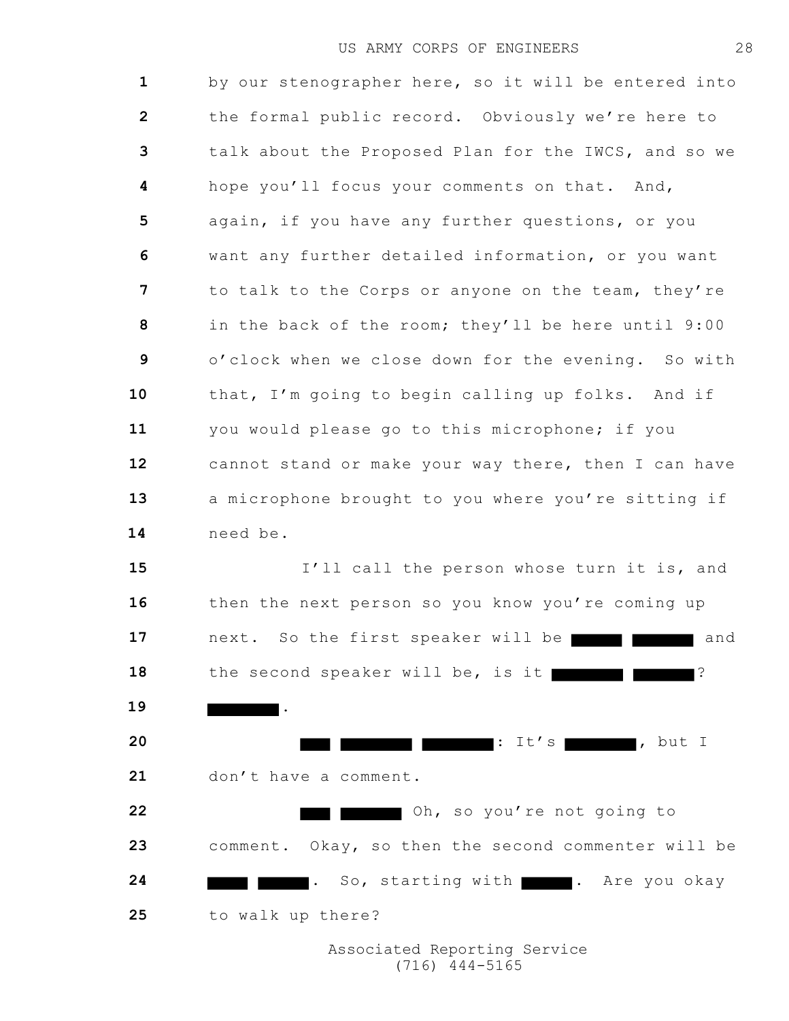by our stenographer here, so it will be entered into the formal public record. Obviously we're here to talk about the Proposed Plan for the IWCS, and so we hope you'll focus your comments on that. And, again, if you have any further questions, or you want any further detailed information, or you want to talk to the Corps or anyone on the team, they're in the back of the room; they'll be here until 9:00 o'clock when we close down for the evening. So with that, I'm going to begin calling up folks. And if you would please go to this microphone; if you cannot stand or make your way there, then I can have a microphone brought to you where you're sitting if need be. 15 I'll call the person whose turn it is, and 16 then the next person so you know you're coming up 17 next. So the first speaker will be 18 the second speaker will be, is it . : It's , but I don't have a comment.

 Oh, so you're not going to comment. Okay, so then the second commenter will be **. So, starting with . Are you okay** to walk up there?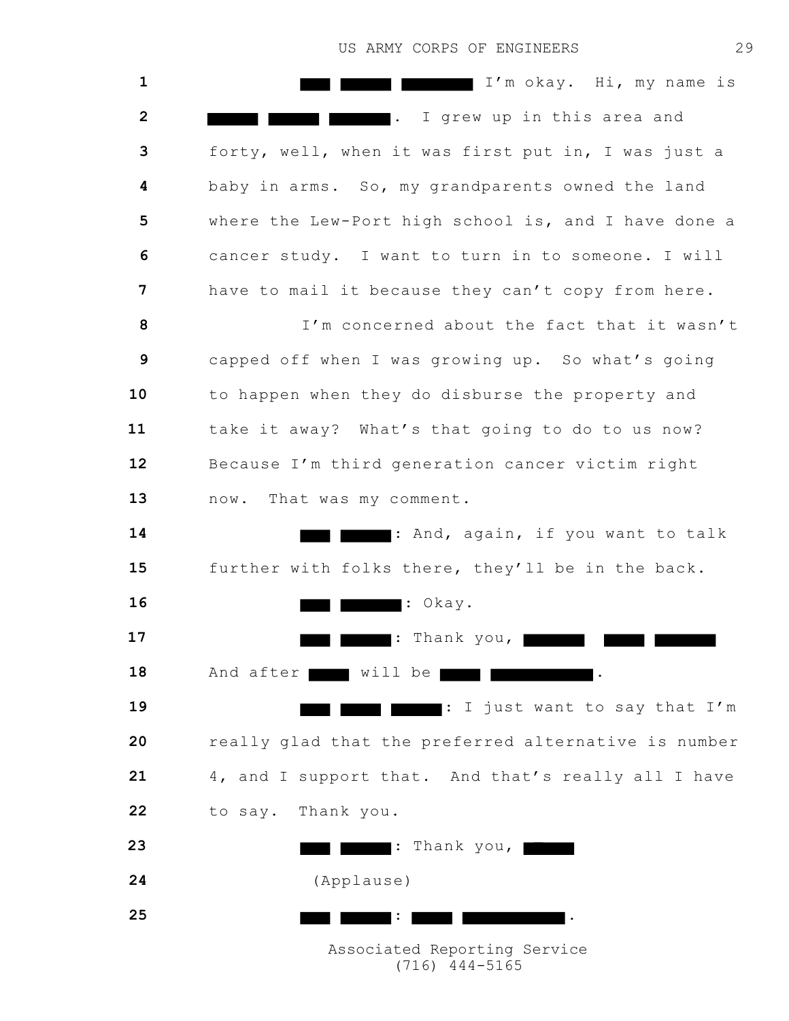I'm okay. Hi, my name is . I grew up in this area and forty, well, when it was first put in, I was just a baby in arms. So, my grandparents owned the land where the Lew-Port high school is, and I have done a cancer study. I want to turn in to someone. I will have to mail it because they can't copy from here. I'm concerned about the fact that it wasn't capped off when I was growing up. So what's going to happen when they do disburse the property and take it away? What's that going to do to us now? Because I'm third generation cancer victim right 13 now. That was my comment. : And, again, if you want to talk further with folks there, they'll be in the back. : Okay. : Thank you, 18 And after will be : I just want to say that I'm really glad that the preferred alternative is number 4, and I support that. And that's really all I have to say. Thank you. : Thank you, (Applause) : .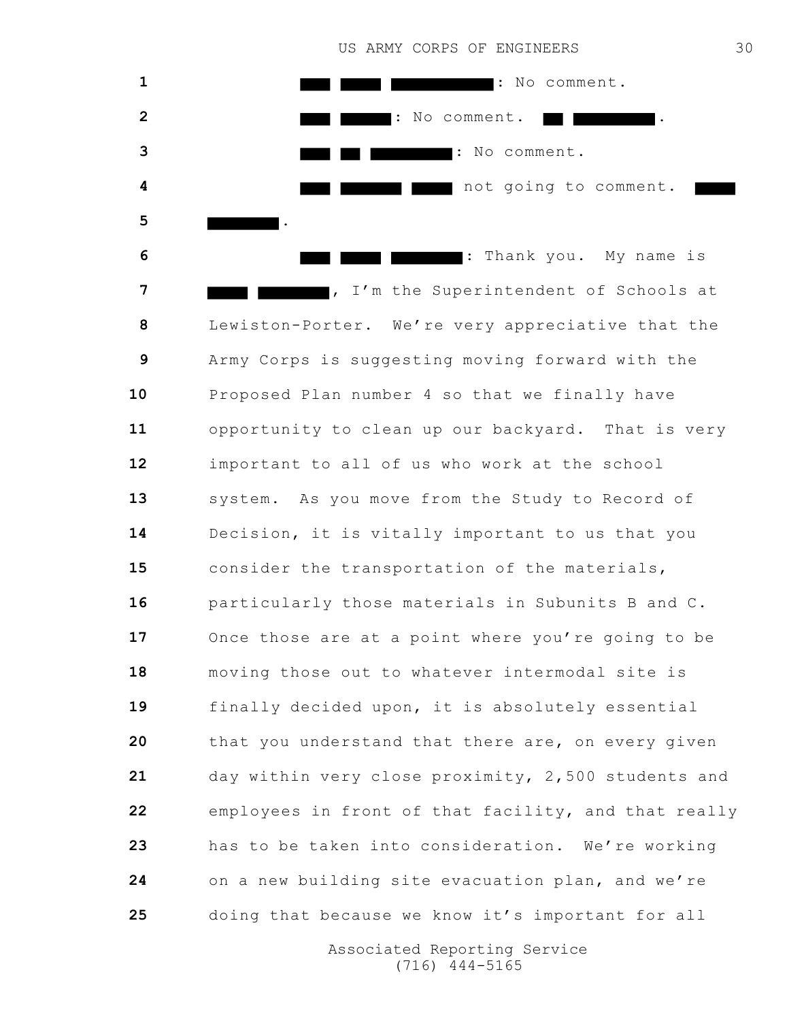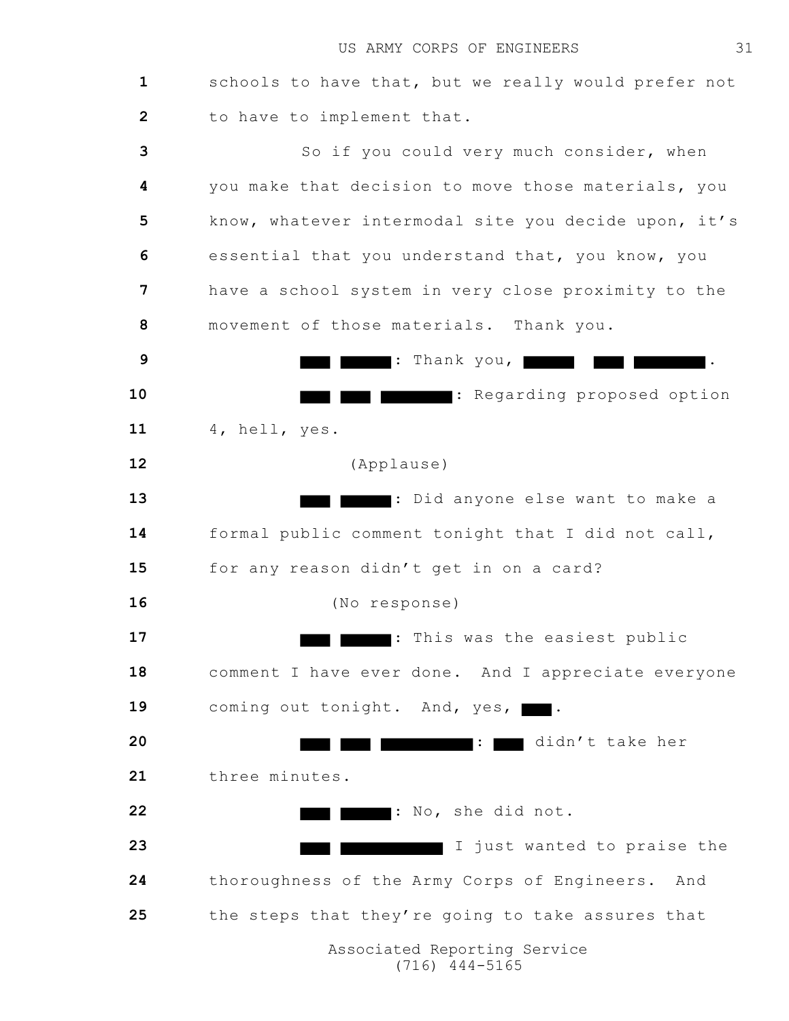schools to have that, but we really would prefer not to have to implement that. So if you could very much consider, when you make that decision to move those materials, you know, whatever intermodal site you decide upon, it's essential that you understand that, you know, you have a school system in very close proximity to the movement of those materials. Thank you. : Thank you, . : Regarding proposed option 4, hell, yes. (Applause) : Did anyone else want to make a formal public comment tonight that I did not call, for any reason didn't get in on a card? (No response) : This was the easiest public comment I have ever done. And I appreciate everyone 19 coming out tonight. And, yes, : didn't take her three minutes. : No, she did not. **I I I** just wanted to praise the thoroughness of the Army Corps of Engineers. And the steps that they're going to take assures that Associated Reporting Service (716) 444-5165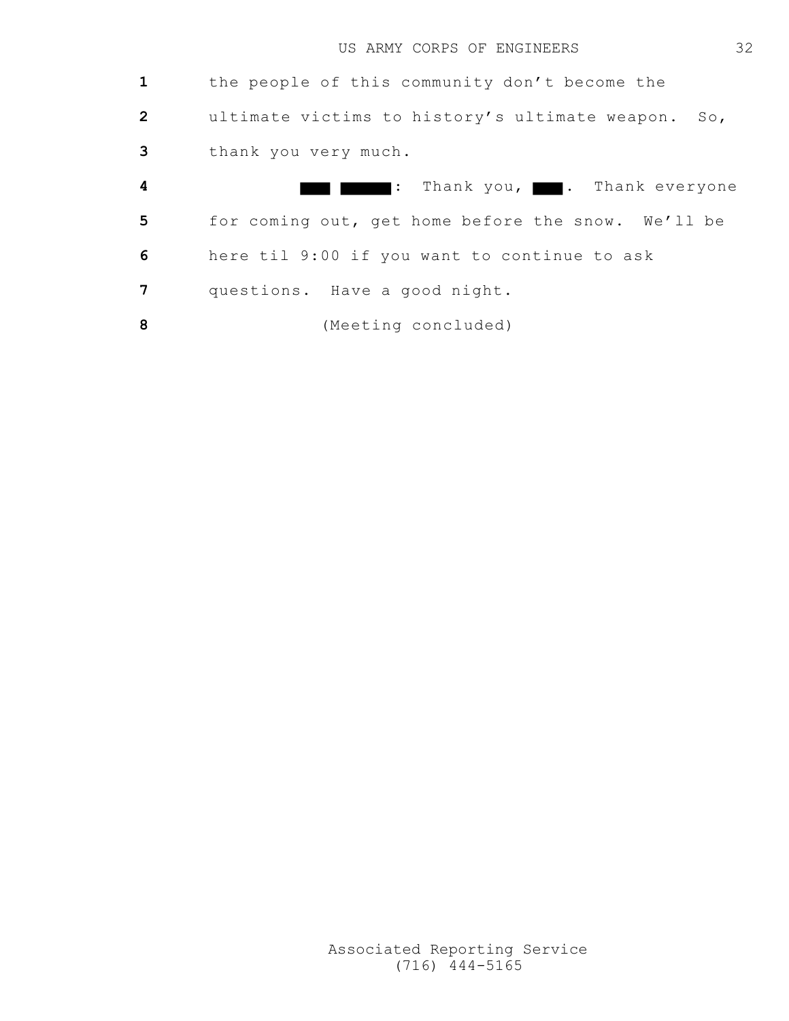|                         | the people of this community don't become the         |
|-------------------------|-------------------------------------------------------|
| $\overline{2}$          | ultimate victims to history's ultimate weapon.<br>So, |
| 3                       | thank you very much.                                  |
| $\overline{\mathbf{4}}$ | : Thank you, <b>Thank</b> everyone                    |
| 5                       | for coming out, get home before the snow. We'll be    |
| 6                       | here til 9:00 if you want to continue to ask          |
| 7                       | questions. Have a good night.                         |
| 8                       | (Meeting concluded)                                   |